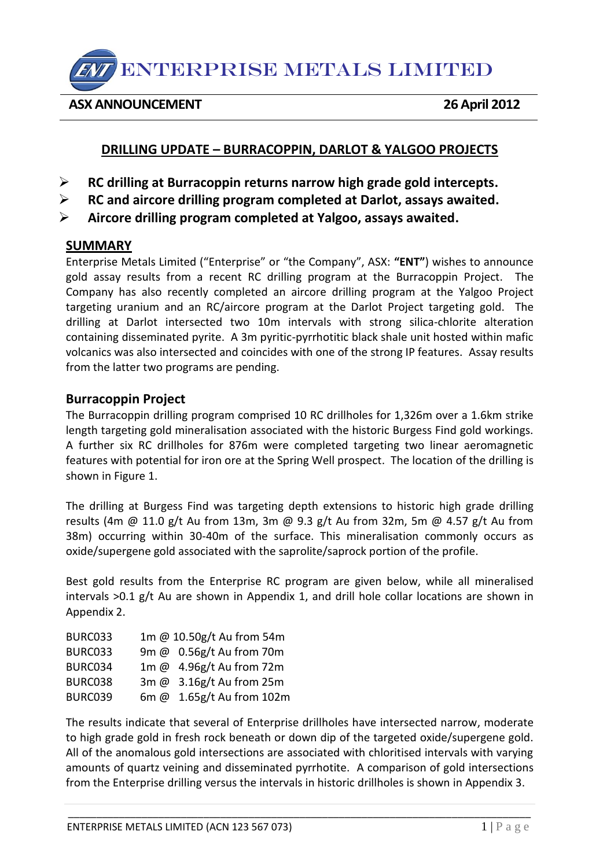ENTERPRISE METALS LIMITED

**ASX ANNOUNCEMENT 26 April 2012** 

# **DRILLING UPDATE – BURRACOPPIN, DARLOT & YALGOO PROJECTS**

- **RC drilling at Burracoppin returns narrow high grade gold intercepts.**
- **RC and aircore drilling program completed at Darlot, assays awaited.**
- **Aircore drilling program completed at Yalgoo, assays awaited.**

# **SUMMARY**

Enterprise Metals Limited ("Enterprise" or "the Company", ASX: **"ENT"**) wishes to announce gold assay results from a recent RC drilling program at the Burracoppin Project. The Company has also recently completed an aircore drilling program at the Yalgoo Project targeting uranium and an RC/aircore program at the Darlot Project targeting gold. The drilling at Darlot intersected two 10m intervals with strong silica-chlorite alteration containing disseminated pyrite. A 3m pyritic-pyrrhotitic black shale unit hosted within mafic volcanics was also intersected and coincides with one of the strong IP features. Assay results from the latter two programs are pending.

### **Burracoppin Project**

The Burracoppin drilling program comprised 10 RC drillholes for 1,326m over a 1.6km strike length targeting gold mineralisation associated with the historic Burgess Find gold workings. A further six RC drillholes for 876m were completed targeting two linear aeromagnetic features with potential for iron ore at the Spring Well prospect. The location of the drilling is shown in Figure 1.

The drilling at Burgess Find was targeting depth extensions to historic high grade drilling results (4m @ 11.0 g/t Au from 13m, 3m @ 9.3 g/t Au from 32m, 5m @ 4.57 g/t Au from 38m) occurring within 30-40m of the surface. This mineralisation commonly occurs as oxide/supergene gold associated with the saprolite/saprock portion of the profile.

Best gold results from the Enterprise RC program are given below, while all mineralised intervals >0.1 g/t Au are shown in Appendix 1, and drill hole collar locations are shown in Appendix 2.

| BURC033 | 1m @ 10.50g/t Au from 54m |
|---------|---------------------------|
| BURC033 | 9m @ 0.56g/t Au from 70m  |
| BURC034 | 1m @ 4.96g/t Au from 72m  |
| BURC038 | 3m @ 3.16g/t Au from 25m  |
| BURC039 | 6m @ 1.65g/t Au from 102m |

The results indicate that several of Enterprise drillholes have intersected narrow, moderate to high grade gold in fresh rock beneath or down dip of the targeted oxide/supergene gold. All of the anomalous gold intersections are associated with chloritised intervals with varying amounts of quartz veining and disseminated pyrrhotite. A comparison of gold intersections from the Enterprise drilling versus the intervals in historic drillholes is shown in Appendix 3.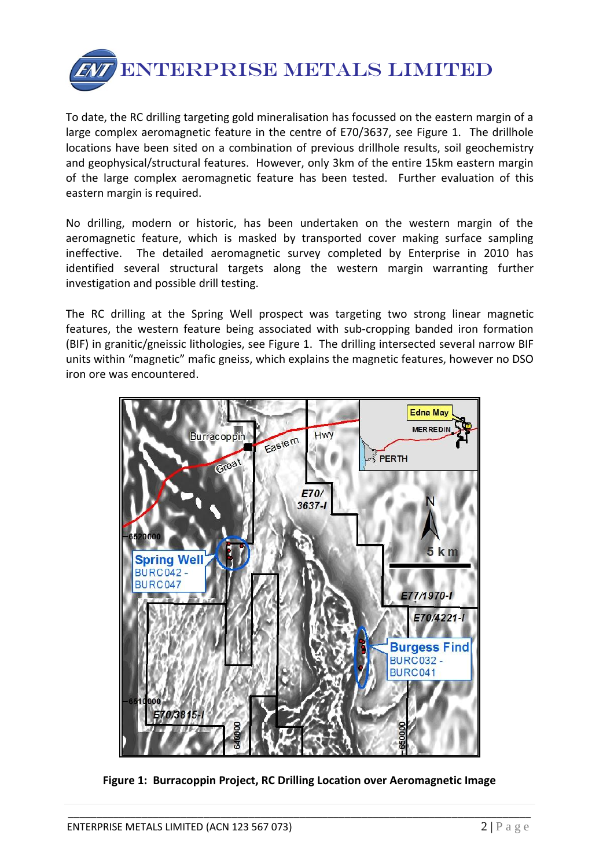

To date, the RC drilling targeting gold mineralisation has focussed on the eastern margin of a large complex aeromagnetic feature in the centre of E70/3637, see Figure 1. The drillhole locations have been sited on a combination of previous drillhole results, soil geochemistry and geophysical/structural features. However, only 3km of the entire 15km eastern margin of the large complex aeromagnetic feature has been tested. Further evaluation of this eastern margin is required.

No drilling, modern or historic, has been undertaken on the western margin of the aeromagnetic feature, which is masked by transported cover making surface sampling ineffective. The detailed aeromagnetic survey completed by Enterprise in 2010 has identified several structural targets along the western margin warranting further investigation and possible drill testing.

The RC drilling at the Spring Well prospect was targeting two strong linear magnetic features, the western feature being associated with sub-cropping banded iron formation (BIF) in granitic/gneissic lithologies, see Figure 1. The drilling intersected several narrow BIF units within "magnetic" mafic gneiss, which explains the magnetic features, however no DSO iron ore was encountered.



**Figure 1: Burracoppin Project, RC Drilling Location over Aeromagnetic Image**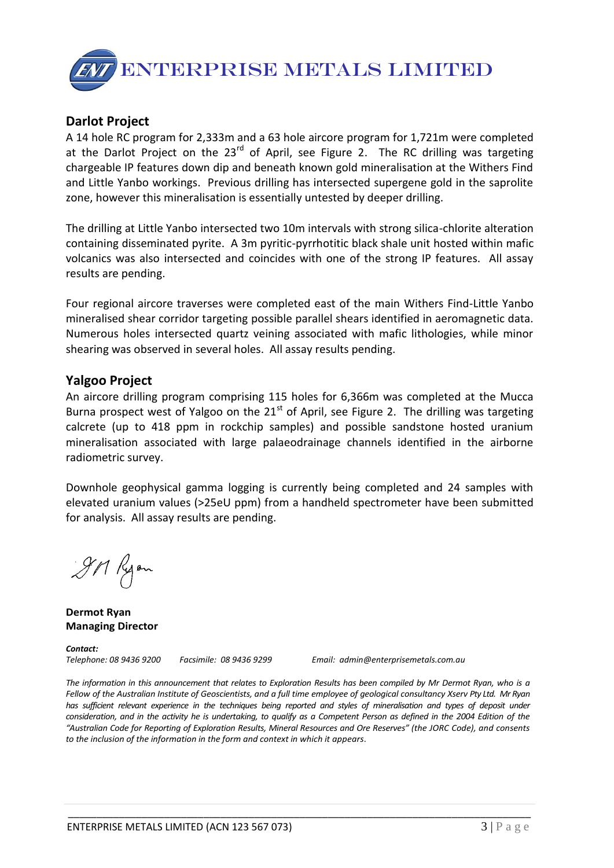

## **Darlot Project**

A 14 hole RC program for 2,333m and a 63 hole aircore program for 1,721m were completed at the Darlot Project on the  $23<sup>rd</sup>$  of April, see Figure 2. The RC drilling was targeting chargeable IP features down dip and beneath known gold mineralisation at the Withers Find and Little Yanbo workings. Previous drilling has intersected supergene gold in the saprolite zone, however this mineralisation is essentially untested by deeper drilling.

The drilling at Little Yanbo intersected two 10m intervals with strong silica-chlorite alteration containing disseminated pyrite. A 3m pyritic-pyrrhotitic black shale unit hosted within mafic volcanics was also intersected and coincides with one of the strong IP features. All assay results are pending.

Four regional aircore traverses were completed east of the main Withers Find-Little Yanbo mineralised shear corridor targeting possible parallel shears identified in aeromagnetic data. Numerous holes intersected quartz veining associated with mafic lithologies, while minor shearing was observed in several holes. All assay results pending.

#### **Yalgoo Project**

An aircore drilling program comprising 115 holes for 6,366m was completed at the Mucca Burna prospect west of Yalgoo on the  $21<sup>st</sup>$  of April, see Figure 2. The drilling was targeting calcrete (up to 418 ppm in rockchip samples) and possible sandstone hosted uranium mineralisation associated with large palaeodrainage channels identified in the airborne radiometric survey.

Downhole geophysical gamma logging is currently being completed and 24 samples with elevated uranium values (>25eU ppm) from a handheld spectrometer have been submitted for analysis. All assay results are pending.

9M Ryon

**Dermot Ryan Managing Director**

*Contact:* 

*Telephone: 08 9436 9200 Facsimile: 08 9436 9299 Email: admin@enterprisemetals.com.au*

*The information in this announcement that relates to Exploration Results has been compiled by Mr Dermot Ryan, who is a Fellow of the Australian Institute of Geoscientists, and a full time employee of geological consultancy Xserv Pty Ltd. Mr Ryan*  has sufficient relevant experience in the techniques being reported and styles of mineralisation and types of deposit under *consideration, and in the activity he is undertaking, to qualify as a Competent Person as defined in the 2004 Edition of the "Australian Code for Reporting of Exploration Results, Mineral Resources and Ore Reserves" (the JORC Code), and consents to the inclusion of the information in the form and context in which it appears*.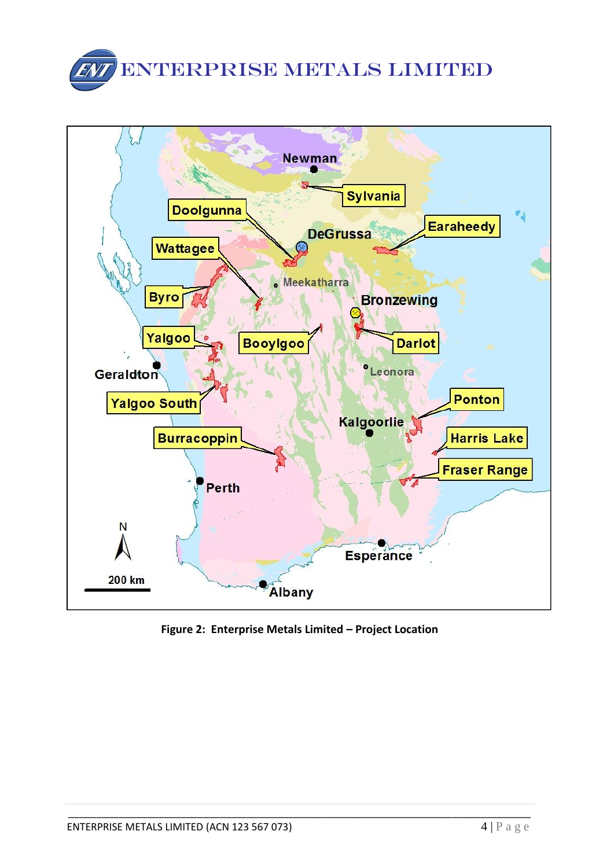



**Figure 2: Enterprise Metals Limited – Project Location**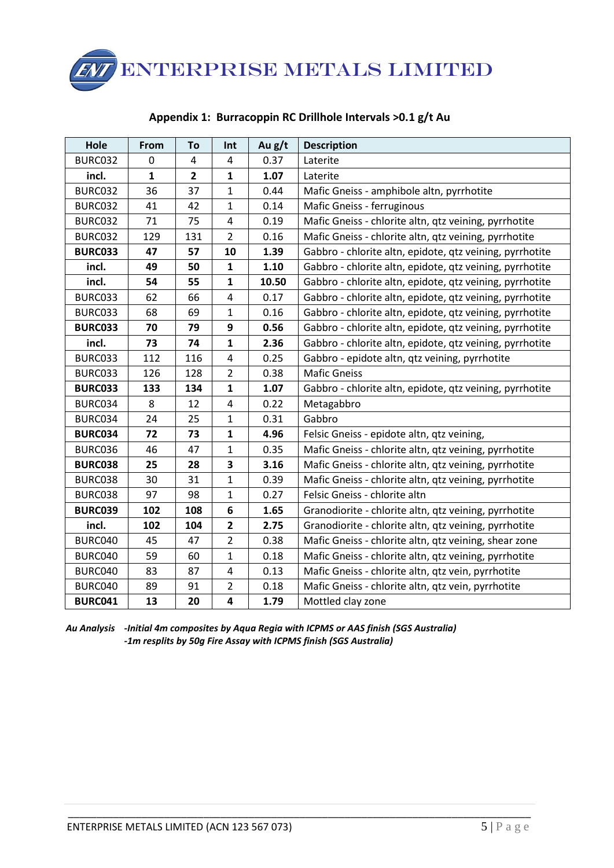ENTERPRISE METALS LIMITED

| Hole           | From         | To             | Int            | Au g/t | <b>Description</b>                                       |  |
|----------------|--------------|----------------|----------------|--------|----------------------------------------------------------|--|
| BURC032        | $\mathbf{0}$ | 4              | 4              | 0.37   | Laterite                                                 |  |
| incl.          | 1            | $\overline{2}$ | 1              | 1.07   | Laterite                                                 |  |
| BURC032        | 36           | 37             | $\mathbf{1}$   | 0.44   | Mafic Gneiss - amphibole altn, pyrrhotite                |  |
| BURC032        | 41           | 42             | 1              | 0.14   | Mafic Gneiss - ferruginous                               |  |
| BURC032        | 71           | 75             | 4              | 0.19   | Mafic Gneiss - chlorite altn, qtz veining, pyrrhotite    |  |
| BURC032        | 129          | 131            | $\overline{2}$ | 0.16   | Mafic Gneiss - chlorite altn, qtz veining, pyrrhotite    |  |
| <b>BURC033</b> | 47           | 57             | 10             | 1.39   | Gabbro - chlorite altn, epidote, qtz veining, pyrrhotite |  |
| incl.          | 49           | 50             | 1              | 1.10   | Gabbro - chlorite altn, epidote, qtz veining, pyrrhotite |  |
| incl.          | 54           | 55             | $\mathbf{1}$   | 10.50  | Gabbro - chlorite altn, epidote, qtz veining, pyrrhotite |  |
| BURC033        | 62           | 66             | 4              | 0.17   | Gabbro - chlorite altn, epidote, qtz veining, pyrrhotite |  |
| BURC033        | 68           | 69             | $\mathbf{1}$   | 0.16   | Gabbro - chlorite altn, epidote, qtz veining, pyrrhotite |  |
| <b>BURC033</b> | 70           | 79             | 9              | 0.56   | Gabbro - chlorite altn, epidote, qtz veining, pyrrhotite |  |
| incl.          | 73           | 74             | $\mathbf{1}$   | 2.36   | Gabbro - chlorite altn, epidote, qtz veining, pyrrhotite |  |
| BURC033        | 112          | 116            | 4              | 0.25   | Gabbro - epidote altn, qtz veining, pyrrhotite           |  |
| BURC033        | 126          | 128            | $\overline{2}$ | 0.38   | <b>Mafic Gneiss</b>                                      |  |
| <b>BURC033</b> | 133          | 134            | $\mathbf{1}$   | 1.07   | Gabbro - chlorite altn, epidote, qtz veining, pyrrhotite |  |
| BURC034        | 8            | 12             | 4              | 0.22   | Metagabbro                                               |  |
| BURC034        | 24           | 25             | $\mathbf{1}$   | 0.31   | Gabbro                                                   |  |
| <b>BURC034</b> | 72           | 73             | $\mathbf{1}$   | 4.96   | Felsic Gneiss - epidote altn, qtz veining,               |  |
| BURC036        | 46           | 47             | 1              | 0.35   | Mafic Gneiss - chlorite altn, qtz veining, pyrrhotite    |  |
| <b>BURC038</b> | 25           | 28             | 3              | 3.16   | Mafic Gneiss - chlorite altn, qtz veining, pyrrhotite    |  |
| BURC038        | 30           | 31             | $\mathbf{1}$   | 0.39   | Mafic Gneiss - chlorite altn, qtz veining, pyrrhotite    |  |
| BURC038        | 97           | 98             | $\mathbf{1}$   | 0.27   | Felsic Gneiss - chlorite altn                            |  |
| <b>BURC039</b> | 102          | 108            | 6              | 1.65   | Granodiorite - chlorite altn, qtz veining, pyrrhotite    |  |
| incl.          | 102          | 104            | $\mathbf{2}$   | 2.75   | Granodiorite - chlorite altn, qtz veining, pyrrhotite    |  |
| BURC040        | 45           | 47             | $\overline{2}$ | 0.38   | Mafic Gneiss - chlorite altn, qtz veining, shear zone    |  |
| BURC040        | 59           | 60             | $\mathbf{1}$   | 0.18   | Mafic Gneiss - chlorite altn, qtz veining, pyrrhotite    |  |
| BURC040        | 83           | 87             | 4              | 0.13   | Mafic Gneiss - chlorite altn, qtz vein, pyrrhotite       |  |
| BURC040        | 89           | 91             | $\overline{2}$ | 0.18   | Mafic Gneiss - chlorite altn, qtz vein, pyrrhotite       |  |
| <b>BURC041</b> | 13           | 20             | 4              | 1.79   | Mottled clay zone                                        |  |

#### **Appendix 1: Burracoppin RC Drillhole Intervals >0.1 g/t Au**

*Au Analysis -Initial 4m composites by Aqua Regia with ICPMS or AAS finish (SGS Australia) -1m resplits by 50g Fire Assay with ICPMS finish (SGS Australia)*